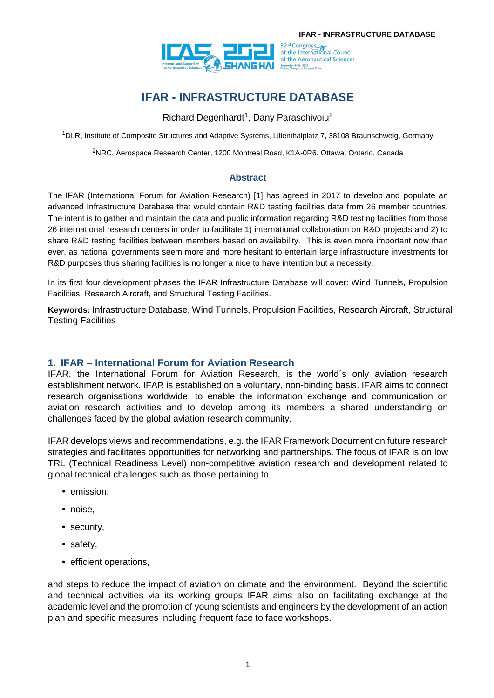

# **IFAR - INFRASTRUCTURE DATABASE**

Richard Degenhardt<sup>1</sup>, Dany Paraschivoiu<sup>2</sup>

<sup>1</sup>DLR, Institute of Composite Structures and Adaptive Systems, Lilienthalplatz 7, 38108 Braunschweig, Germany

<sup>2</sup>NRC, Aerospace Research Center, 1200 Montreal Road, K1A-0R6, Ottawa, Ontario, Canada

#### **Abstract**

The IFAR (International Forum for Aviation Research) [1] has agreed in 2017 to develop and populate an advanced Infrastructure Database that would contain R&D testing facilities data from 26 member countries. The intent is to gather and maintain the data and public information regarding R&D testing facilities from those 26 international research centers in order to facilitate 1) international collaboration on R&D projects and 2) to share R&D testing facilities between members based on availability. This is even more important now than ever, as national governments seem more and more hesitant to entertain large infrastructure investments for R&D purposes thus sharing facilities is no longer a nice to have intention but a necessity.

In its first four development phases the IFAR Infrastructure Database will cover: Wind Tunnels, Propulsion Facilities, Research Aircraft, and Structural Testing Facilities.

**Keywords:** Infrastructure Database, Wind Tunnels, Propulsion Facilities, Research Aircraft, Structural Testing Facilities

#### **1. IFAR – International Forum for Aviation Research**

IFAR, the International Forum for Aviation Research, is the world´s only aviation research establishment network. IFAR is established on a voluntary, non-binding basis. IFAR aims to connect research organisations worldwide, to enable the information exchange and communication on aviation research activities and to develop among its members a shared understanding on challenges faced by the global aviation research community.

IFAR develops views and recommendations, e.g. the IFAR Framework Document on future research strategies and facilitates opportunities for networking and partnerships. The focus of IFAR is on low TRL (Technical Readiness Level) non-competitive aviation research and development related to global technical challenges such as those pertaining to

- emission.
- noise,
- security,
- safety,
- **•** efficient operations,

and steps to reduce the impact of aviation on climate and the environment. Beyond the scientific and technical activities via its working groups IFAR aims also on facilitating exchange at the academic level and the promotion of young scientists and engineers by the development of an action plan and specific measures including frequent face to face workshops.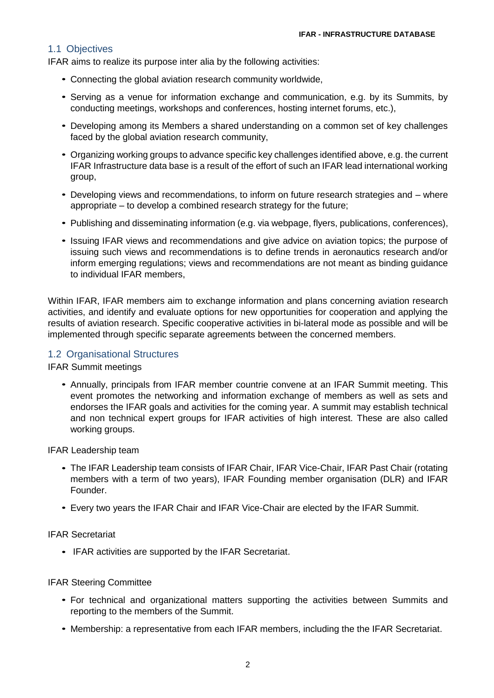#### 1.1 Objectives

IFAR aims to realize its purpose inter alia by the following activities:

- Connecting the global aviation research community worldwide, *•*
- Serving as a venue for information exchange and communication, e.g. by its Summits, by *•* conducting meetings, workshops and conferences, hosting internet forums, etc.),
- Developing among its Members a shared understanding on a common set of key challenges *•* faced by the global aviation research community,
- Organizing working groups to advance specific key challenges identified above, e.g. the current *•*IFAR Infrastructure data base is a result of the effort of such an IFAR lead international working group,
- Developing views and recommendations, to inform on future research strategies and where *•* appropriate – to develop a combined research strategy for the future;
- Publishing and disseminating information (e.g. via webpage, flyers, publications, conferences),
- Issuing IFAR views and recommendations and give advice on aviation topics; the purpose of issuing such views and recommendations is to define trends in aeronautics research and/or inform emerging regulations; views and recommendations are not meant as binding guidance to individual IFAR members,

Within IFAR, IFAR members aim to exchange information and plans concerning aviation research activities, and identify and evaluate options for new opportunities for cooperation and applying the results of aviation research. Specific cooperative activities in bi-lateral mode as possible and will be implemented through specific separate agreements between the concerned members.

#### 1.2 Organisational Structures

IFAR Summit meetings

Annually, principals from IFAR member countrie convene at an IFAR Summit meeting. This *•* event promotes the networking and information exchange of members as well as sets and endorses the IFAR goals and activities for the coming year. A summit may establish technical and non technical expert groups for IFAR activities of high interest. These are also called working groups.

IFAR Leadership team

- The IFAR Leadership team consists of IFAR Chair, IFAR Vice-Chair, IFAR Past Chair (rotating *•* members with a term of two years), IFAR Founding member organisation (DLR) and IFAR Founder.
- Every two years the IFAR Chair and IFAR Vice-Chair are elected by the IFAR Summit.

IFAR Secretariat

• IFAR activities are supported by the IFAR Secretariat.

#### IFAR Steering Committee

- For technical and organizational matters supporting the activities between Summits and *•* reporting to the members of the Summit.
- Membership: a representative from each IFAR members, including the the IFAR Secretariat.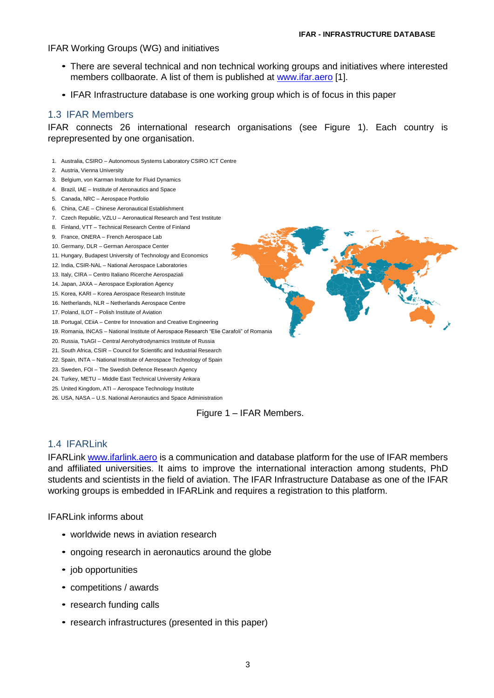#### IFAR Working Groups (WG) and initiatives

- There are several technical and non technical working groups and initiatives where interested *•* members collbaorate. A list of them is published at [www.ifar.aero](http://www.ifar.aero/) [1].
- IFAR Infrastructure database is one working group which is of focus in this paper

#### 1.3 IFAR Members

IFAR connects 26 international research organisations (see Figure 1). Each country is reprepresented by one organisation.

- 1. Australia, CSIRO Autonomous Systems Laboratory CSIRO ICT Centre
- 2. Austria, Vienna University
- 3. Belgium, von Karman Institute for Fluid Dynamics
- 4. Brazil, IAE Institute of Aeronautics and Space
- 5. Canada, NRC Aerospace Portfolio
- 6. China, CAE Chinese Aeronautical Establishment
- 7. Czech Republic, VZLU Aeronautical Research and Test Institute
- 8. Finland, VTT Technical Research Centre of Finland
- 9. France, ONERA French Aerospace Lab
- 10. Germany, DLR German Aerospace Center
- 11. Hungary, Budapest University of Technology and Economics
- 12. India, CSIR-NAL National Aerospace Laboratories
- 13. Italy, CIRA Centro Italiano Ricerche Aerospaziali
- 14. Japan, JAXA Aerospace Exploration Agency
- 15. Korea, KARI Korea Aerospace Research Institute
- 16. Netherlands, NLR Netherlands Aerospace Centre
- 17. Poland, ILOT Polish Institute of Aviation
- 18. Portugal, CEiiA Centre for Innovation and Creative Engineering
- 19. Romania, INCAS National Institute of Aerospace Research "Elie Carafoli" of Romania
- 20. Russia, TsAGI Central Aerohydrodynamics Institute of Russia
- 21. South Africa, CSIR Council for Scientific and Industrial Research
- 22. Spain, INTA National Institute of Aerospace Technology of Spain
- 23. Sweden, FOI The Swedish Defence Research Agency
- 24. Turkey, METU Middle East Technical University Ankara
- 25. United Kingdom, ATI Aerospace Technology Institute
- 26. USA, NASA U.S. National Aeronautics and Space Administration



#### 1.4 IFARLink

IFARLink [www.ifarlink.aero](http://www.ifarlink.aero/) is a communication and database platform for the use of IFAR members and affiliated universities. It aims to improve the international interaction among students, PhD students and scientists in the field of aviation. The IFAR Infrastructure Database as one of the IFAR working groups is embedded in IFARLink and requires a registration to this platform.

#### IFARLink informs about

- worldwide news in aviation research *•*
- ongoing research in aeronautics around the globe
- job opportunities *•*
- competitions / awards *•*
- research funding calls
- research infrastructures (presented in this paper)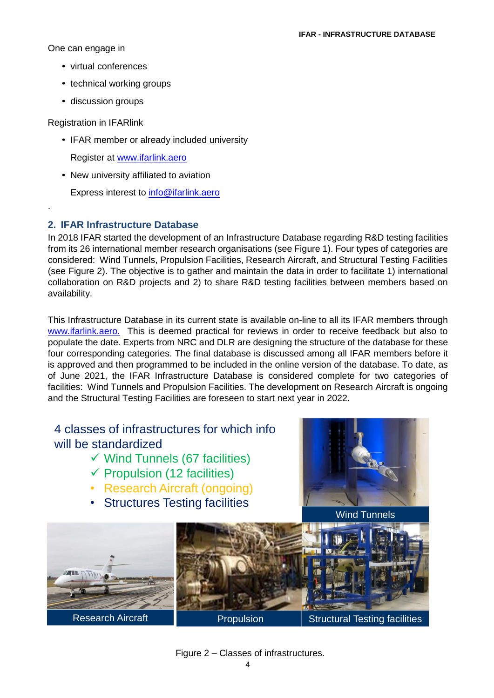One can engage in

- virtual conferences *•*
- technical working groups *•*
- discussion groups *•*

Registration in IFARlink

.

IFAR member or already included university *•*

Register at [www.ifarlink.aero](http://www.ifarlink.aero/)

New university affiliated to aviation *•*

Express interest to **info@ifarlink.aero** 

## **2. IFAR Infrastructure Database**

In 2018 IFAR started the development of an Infrastructure Database regarding R&D testing facilities from its 26 international member research organisations (see Figure 1). Four types of categories are considered: Wind Tunnels, Propulsion Facilities, Research Aircraft, and Structural Testing Facilities (see Figure 2). The objective is to gather and maintain the data in order to facilitate 1) international collaboration on R&D projects and 2) to share R&D testing facilities between members based on availability.

This Infrastructure Database in its current state is available on-line to all its IFAR members through [www.ifarlink.aero.](http://www.ifarlink.aero./) This is deemed practical for reviews in order to receive feedback but also to populate the date. Experts from NRC and DLR are designing the structure of the database for these four corresponding categories. The final database is discussed among all IFAR members before it is approved and then programmed to be included in the online version of the database. To date, as of June 2021, the IFAR Infrastructure Database is considered complete for two categories of facilities: Wind Tunnels and Propulsion Facilities. The development on Research Aircraft is ongoing and the Structural Testing Facilities are foreseen to start next year in 2022.

# 4 classes of infrastructures for which info will be standardized

- ✓ Wind Tunnels (67 facilities)
- ✓ Propulsion (12 facilities)
- Research Aircraft (ongoing)
- Structures Testing facilities



Wind Tunnels



## Figure 2 – Classes of infrastructures.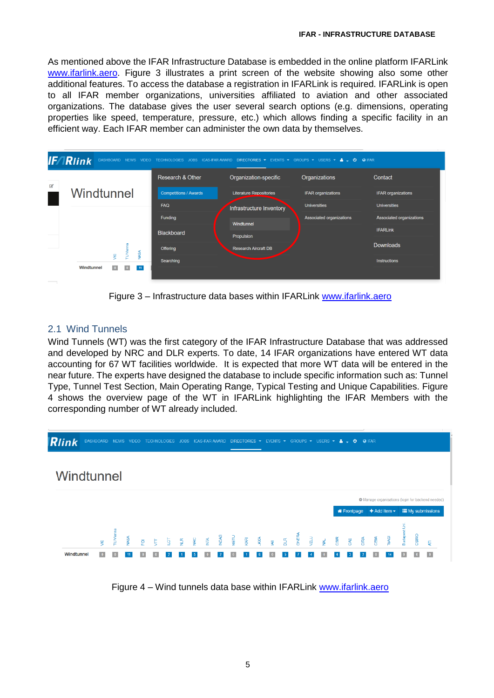As mentioned above the IFAR Infrastructure Database is embedded in the online platform IFARLink [www.ifarlink.aero.](http://www.ifarlink.aero/) Figure 3 illustrates a print screen of the website showing also some other additional features. To access the database a registration in IFARLink is required. IFARLink is open to all IFAR member organizations, universities affiliated to aviation and other associated organizations. The database gives the user several search options (e.g. dimensions, operating properties like speed, temperature, pressure, etc.) which allows finding a specific facility in an efficient way. Each IFAR member can administer the own data by themselves.



Figure 3 – Infrastructure data bases within IFARLink [www.ifarlink.aero](http://www.ifarlink.aero/)

# 2.1 Wind Tunnels

Wind Tunnels (WT) was the first category of the IFAR Infrastructure Database that was addressed and developed by NRC and DLR experts. To date, 14 IFAR organizations have entered WT data accounting for 67 WT facilities worldwide. It is expected that more WT data will be entered in the near future. The experts have designed the database to include specific information such as: Tunnel Type, Tunnel Test Section, Main Operating Range, Typical Testing and Unique Capabilities. Figure 4 shows the overview page of the WT in IFARLink highlighting the IFAR Members with the corresponding number of WT already included.



Figure 4 – Wind tunnels data base within IFARLink [www.ifarlink.aero](http://www.ifarlink.aero/)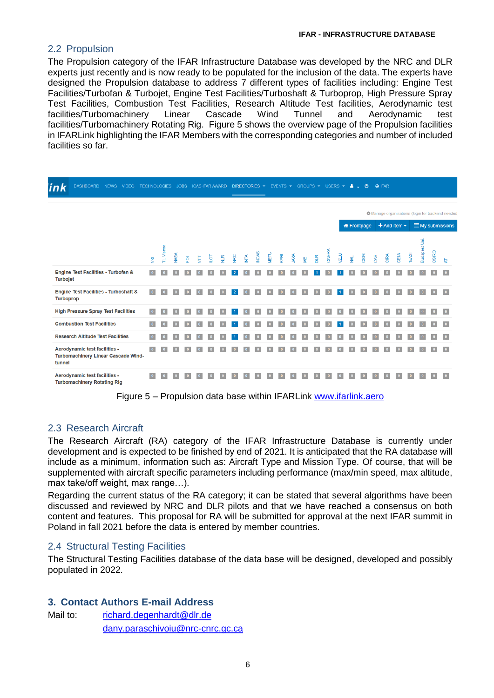### 2.2 Propulsion

The Propulsion category of the IFAR Infrastructure Database was developed by the NRC and DLR experts just recently and is now ready to be populated for the inclusion of the data. The experts have designed the Propulsion database to address 7 different types of facilities including: Engine Test Facilities/Turbofan & Turbojet, Engine Test Facilities/Turboshaft & Turboprop, High Pressure Spray Test Facilities, Combustion Test Facilities, Research Altitude Test facilities, Aerodynamic test facilities/Turbomachinery Linear Cascade Wind Tunnel and Aerodynamic test facilities/Turbomachinery Rotating Rig. Figure 5 shows the overview page of the Propulsion facilities in IFARLink highlighting the IFAR Members with the corresponding categories and number of included facilities so far.

| <u>ink</u>                        | DASHBOARD NEWS                                                       | <b>VIDEO</b> | <b>TECHNOLOGIES</b> |                 |     | JOBS. | <b>ICAS-IFAR AWARD</b> |                |   |   |                         |             | DIRECTORIES ▼ EVENTS ▼ GROUPS ▼ USERS ▼ |      |            |   |              |       |                | A                                                                            | $\mathfrak{G}$ |     | <b>O</b> IFAR       |      |              |               |       |                        |  |
|-----------------------------------|----------------------------------------------------------------------|--------------|---------------------|-----------------|-----|-------|------------------------|----------------|---|---|-------------------------|-------------|-----------------------------------------|------|------------|---|--------------|-------|----------------|------------------------------------------------------------------------------|----------------|-----|---------------------|------|--------------|---------------|-------|------------------------|--|
|                                   |                                                                      |              |                     |                 |     |       |                        |                |   |   |                         |             |                                         |      |            |   |              |       |                |                                                                              |                |     |                     |      |              |               |       |                        |  |
|                                   |                                                                      |              |                     |                 |     |       |                        |                |   |   |                         |             |                                         |      |            |   |              |       |                | <b><math>\bigoplus</math></b> Manage organisations (login for backend needed |                |     |                     |      |              |               |       |                        |  |
|                                   |                                                                      |              |                     |                 |     |       |                        |                |   |   |                         |             |                                         |      |            |   |              |       |                | <b>X</b> Frontpage                                                           |                |     | $+$ Add item $\sim$ |      |              |               |       | <b>EMy submissions</b> |  |
|                                   |                                                                      |              | $\overline{\xi}$    | <b>TUVienna</b> | MSA | 훈     | E                      | $\overline{Q}$ | ¥ | g | $\overline{\mathbb{E}}$ | <b>NCAS</b> | WETU                                    | KARI | <b>AXA</b> | 및 | $\mathbb{R}$ | ONERA | $\overline{Z}$ | $\overrightarrow{2}$                                                         | CSIR           | CAE | CIRA                | CEIM | <b>TsAGI</b> | Budapest Uni. | CSIRO | 튷                      |  |
| <b>Turbojet</b>                   | Engine Test Facilities - Turbofan &                                  |              |                     |                 |     |       |                        |                |   |   |                         |             |                                         |      |            |   |              |       |                |                                                                              |                |     |                     |      |              |               |       |                        |  |
| <b>Turboprop</b>                  | <b>Engine Test Facilities - Turboshaft &amp;</b>                     |              | $\bullet$           |                 |     |       |                        |                |   |   |                         |             |                                         |      |            |   |              |       |                |                                                                              |                |     |                     |      |              |               |       |                        |  |
|                                   | <b>High Pressure Spray Test Facilities</b>                           |              | $\bullet$           | $\mathbf{0}$    |     |       |                        |                |   |   |                         |             |                                         |      |            |   |              |       |                |                                                                              |                |     |                     |      |              |               |       |                        |  |
| <b>Combustion Test Facilities</b> |                                                                      | $\bullet$    |                     |                 |     |       |                        |                |   |   |                         |             |                                         |      |            |   |              |       |                |                                                                              |                |     |                     |      |              |               |       |                        |  |
|                                   | <b>Research Altitude Test Facilities</b>                             |              | $\bullet$           |                 |     |       |                        |                |   |   |                         |             |                                         |      |            |   |              |       |                |                                                                              |                |     |                     |      |              |               |       |                        |  |
| tunnel                            | Aerodynamic test facilities -<br>Turbomachinery Linear Cascade Wind- |              | $\bullet$           |                 |     |       |                        |                |   |   |                         |             |                                         |      |            |   |              |       |                |                                                                              |                |     |                     |      |              |               |       |                        |  |
|                                   | Aerodynamic test facilities -<br><b>Turbomachinery Rotating Rig</b>  |              |                     |                 |     |       |                        |                |   |   |                         |             |                                         |      |            |   |              |       |                |                                                                              |                |     |                     |      |              |               |       |                        |  |

Figure 5 – Propulsion data base within IFARLink [www.ifarlink.aero](http://www.ifarlink.aero/)

## 2.3 Research Aircraft

The Research Aircraft (RA) category of the IFAR Infrastructure Database is currently under development and is expected to be finished by end of 2021. It is anticipated that the RA database will include as a minimum, information such as: Aircraft Type and Mission Type. Of course, that will be supplemented with aircraft specific parameters including performance (max/min speed, max altitude, max take/off weight, max range…).

Regarding the current status of the RA category; it can be stated that several algorithms have been discussed and reviewed by NRC and DLR pilots and that we have reached a consensus on both content and features. This proposal for RA will be submitted for approval at the next IFAR summit in Poland in fall 2021 before the data is entered by member countries.

## 2.4 Structural Testing Facilities

The Structural Testing Facilities database of the data base will be designed, developed and possibly populated in 2022.

## **3. Contact Authors E-mail Address**

Mail to: [richard.degenhardt@dlr.de](mailto:richard.degenhardt@dlr.de) [dany.paraschivoiu@nrc-cnrc.gc.ca](mailto:dany.paraschivoiu@nrc-cnrc.gc.ca)